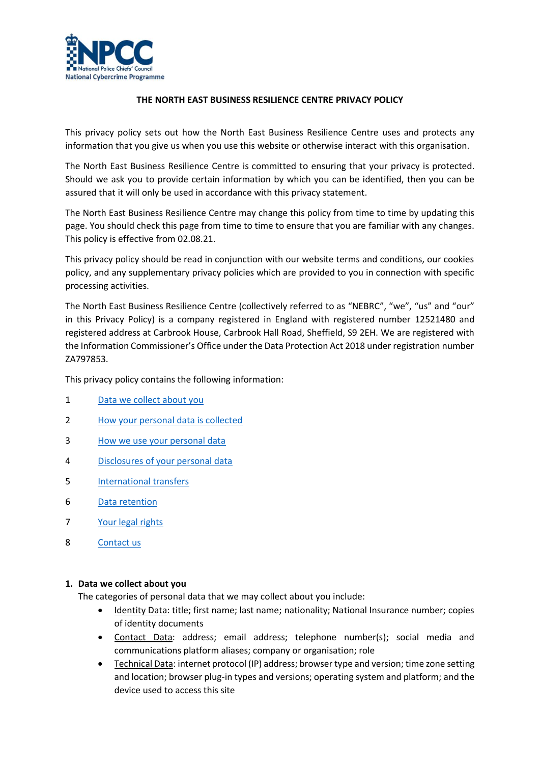

## **THE NORTH EAST BUSINESS RESILIENCE CENTRE PRIVACY POLICY**

This privacy policy sets out how the North East Business Resilience Centre uses and protects any information that you give us when you use this website or otherwise interact with this organisation.

The North East Business Resilience Centre is committed to ensuring that your privacy is protected. Should we ask you to provide certain information by which you can be identified, then you can be assured that it will only be used in accordance with this privacy statement.

The North East Business Resilience Centre may change this policy from time to time by updating this page. You should check this page from time to time to ensure that you are familiar with any changes. This policy is effective from 02.08.21.

This privacy policy should be read in conjunction with our website terms and conditions, our cookies policy, and any supplementary privacy policies which are provided to you in connection with specific processing activities.

The North East Business Resilience Centre (collectively referred to as "NEBRC", "we", "us" and "our" in this Privacy Policy) is a company registered in England with registered number 12521480 and registered address at Carbrook House, Carbrook Hall Road, Sheffield, S9 2EH. We are registered with the Information Commissioner's Office under the Data Protection Act 2018 under registration number ZA797853.

This privacy policy contains the following information:

- 1 [Data we collect about you](#page-0-0)
- 2 [How your personal data is collected](#page-1-0)
- 3 [How we use your personal data](#page-1-1)
- 4 [Disclosures of your personal data](#page-6-0)
- 5 [International transfers](#page-6-1)
- 6 [Data retention](#page-7-0)
- 7 [Your legal rights](#page-7-1)
- 8 [Contact us](#page-8-0)

### <span id="page-0-0"></span>**1. Data we collect about you**

The categories of personal data that we may collect about you include:

- Identity Data: title; first name; last name; nationality; National Insurance number; copies of identity documents
- Contact Data: address; email address; telephone number(s); social media and communications platform aliases; company or organisation; role
- Technical Data: internet protocol (IP) address; browser type and version; time zone setting and location; browser plug-in types and versions; operating system and platform; and the device used to access this site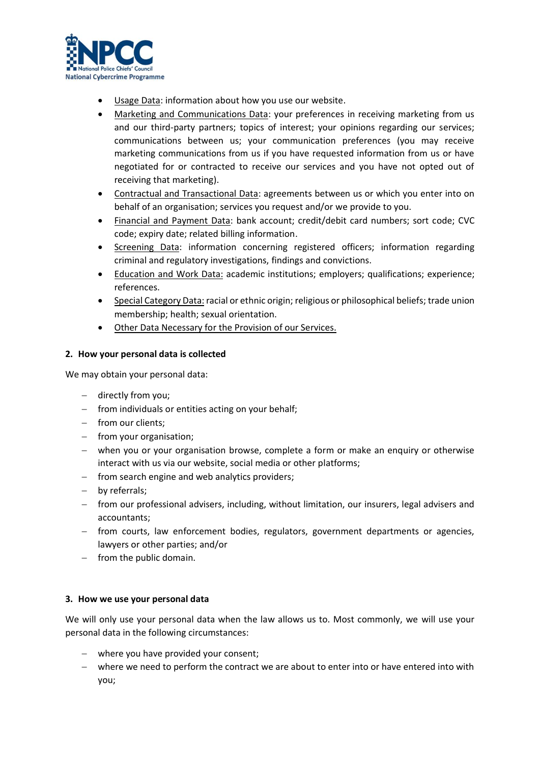

- Usage Data: information about how you use our website.
- Marketing and Communications Data: your preferences in receiving marketing from us and our third-party partners; topics of interest; your opinions regarding our services; communications between us; your communication preferences (you may receive marketing communications from us if you have requested information from us or have negotiated for or contracted to receive our services and you have not opted out of receiving that marketing).
- Contractual and Transactional Data: agreements between us or which you enter into on behalf of an organisation; services you request and/or we provide to you.
- Financial and Payment Data: bank account; credit/debit card numbers; sort code; CVC code; expiry date; related billing information.
- Screening Data: information concerning registered officers; information regarding criminal and regulatory investigations, findings and convictions.
- Education and Work Data: academic institutions; employers; qualifications; experience; references.
- Special Category Data: racial or ethnic origin; religious or philosophical beliefs; trade union membership; health; sexual orientation.
- Other Data Necessary for the Provision of our Services.

## <span id="page-1-0"></span>**2. How your personal data is collected**

We may obtain your personal data:

- − directly from you;
- − from individuals or entities acting on your behalf;
- − from our clients;
- − from your organisation;
- − when you or your organisation browse, complete a form or make an enquiry or otherwise interact with us via our website, social media or other platforms;
- − from search engine and web analytics providers;
- − by referrals;
- − from our professional advisers, including, without limitation, our insurers, legal advisers and accountants;
- − from courts, law enforcement bodies, regulators, government departments or agencies, lawyers or other parties; and/or
- − from the public domain.

### <span id="page-1-1"></span>**3. How we use your personal data**

We will only use your personal data when the law allows us to. Most commonly, we will use your personal data in the following circumstances:

- − where you have provided your consent;
- − where we need to perform the contract we are about to enter into or have entered into with you;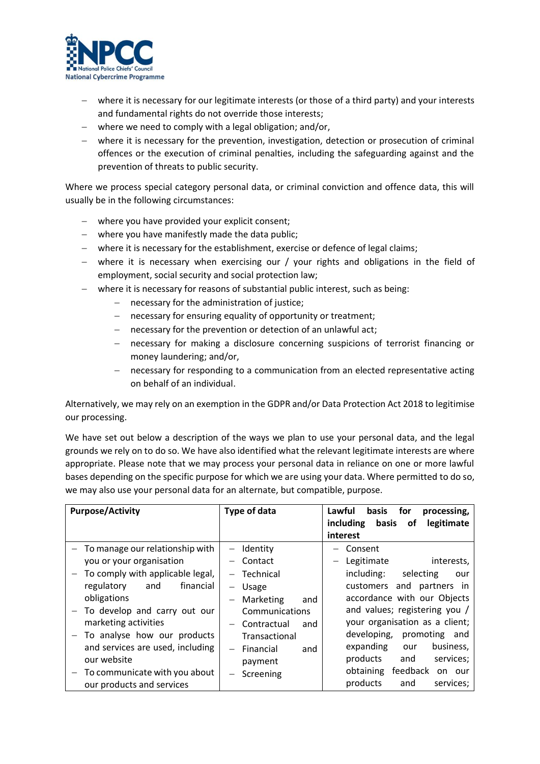

- − where it is necessary for our legitimate interests (or those of a third party) and your interests and fundamental rights do not override those interests;
- − where we need to comply with a legal obligation; and/or,
- − where it is necessary for the prevention, investigation, detection or prosecution of criminal offences or the execution of criminal penalties, including the safeguarding against and the prevention of threats to public security.

Where we process special category personal data, or criminal conviction and offence data, this will usually be in the following circumstances:

- − where you have provided your explicit consent;
- − where you have manifestly made the data public;
- − where it is necessary for the establishment, exercise or defence of legal claims;
- − where it is necessary when exercising our / your rights and obligations in the field of employment, social security and social protection law;
- − where it is necessary for reasons of substantial public interest, such as being:
	- − necessary for the administration of justice;
	- − necessary for ensuring equality of opportunity or treatment;
	- − necessary for the prevention or detection of an unlawful act;
	- − necessary for making a disclosure concerning suspicions of terrorist financing or money laundering; and/or,
	- − necessary for responding to a communication from an elected representative acting on behalf of an individual.

Alternatively, we may rely on an exemption in the GDPR and/or Data Protection Act 2018 to legitimise our processing.

We have set out below a description of the ways we plan to use your personal data, and the legal grounds we rely on to do so. We have also identified what the relevant legitimate interests are where appropriate. Please note that we may process your personal data in reliance on one or more lawful bases depending on the specific purpose for which we are using your data. Where permitted to do so, we may also use your personal data for an alternate, but compatible, purpose.

| <b>Purpose/Activity</b>                                                                                                                                                                                                                                                                                                                                  | Type of data                                                                                                                                                                                                                                                         | Lawful<br><b>basis</b><br>for<br>processing,<br>including<br>basis<br>legitimate<br>0f<br>interest                                                                                                                                                                                                                                                                                                |
|----------------------------------------------------------------------------------------------------------------------------------------------------------------------------------------------------------------------------------------------------------------------------------------------------------------------------------------------------------|----------------------------------------------------------------------------------------------------------------------------------------------------------------------------------------------------------------------------------------------------------------------|---------------------------------------------------------------------------------------------------------------------------------------------------------------------------------------------------------------------------------------------------------------------------------------------------------------------------------------------------------------------------------------------------|
| To manage our relationship with<br>you or your organisation<br>To comply with applicable legal,<br>financial<br>regulatory<br>and<br>obligations<br>To develop and carry out our<br>marketing activities<br>To analyse how our products<br>and services are used, including<br>our website<br>To communicate with you about<br>our products and services | Identity<br>Contact<br>Technical<br>Usage<br>$\overline{\phantom{0}}$<br>Marketing<br>and<br>Communications<br>Contractual<br>and<br>$\qquad \qquad -$<br>Transactional<br>Financial<br>and<br>$\overline{\phantom{0}}$<br>payment<br>Screening<br>$\qquad \qquad -$ | Consent<br>Legitimate<br>interests,<br>$\overline{\phantom{m}}$<br>including: selecting<br>our<br>customers and partners in<br>accordance with our Objects<br>and values; registering you /<br>your organisation as a client;<br>developing,<br>promoting and<br>expanding<br>business,<br>our<br>products<br>services;<br>and<br>obtaining<br>feedback<br>on our<br>products<br>services;<br>and |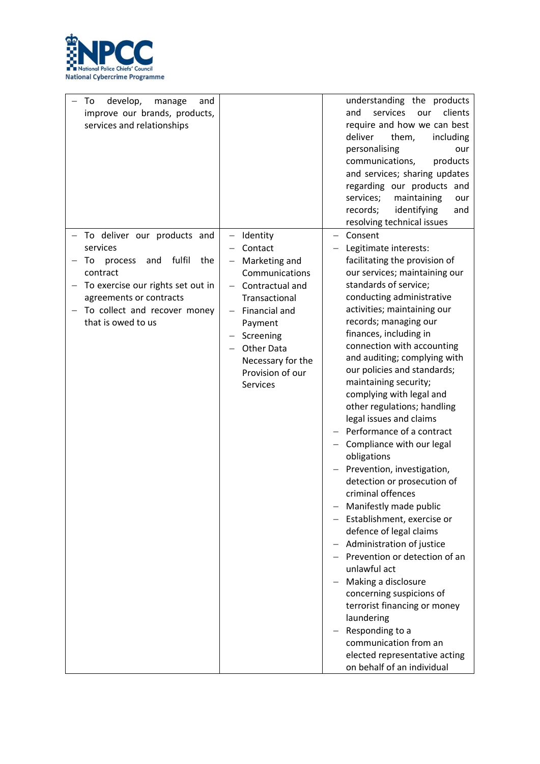

| develop,<br>To<br>manage<br>and<br>improve our brands, products,<br>services and relationships                                                                                                                     |                                                                                                                                                                                                               | understanding the products<br>services<br>clients<br>and<br>our<br>require and how we can best<br>deliver<br>them,<br>including<br>personalising<br>our<br>communications,<br>products<br>and services; sharing updates<br>regarding our products and<br>services;<br>maintaining<br>our<br>records;<br>identifying<br>and<br>resolving technical issues                                                                                                                                                                                                                                                                                                                                                                                                                                                                                                                                                                                                                                             |
|--------------------------------------------------------------------------------------------------------------------------------------------------------------------------------------------------------------------|---------------------------------------------------------------------------------------------------------------------------------------------------------------------------------------------------------------|------------------------------------------------------------------------------------------------------------------------------------------------------------------------------------------------------------------------------------------------------------------------------------------------------------------------------------------------------------------------------------------------------------------------------------------------------------------------------------------------------------------------------------------------------------------------------------------------------------------------------------------------------------------------------------------------------------------------------------------------------------------------------------------------------------------------------------------------------------------------------------------------------------------------------------------------------------------------------------------------------|
| To deliver our products and<br>services<br>fulfil<br>the<br>process<br>and<br>To<br>contract<br>To exercise our rights set out in<br>agreements or contracts<br>To collect and recover money<br>that is owed to us | Identity<br>Contact<br>Marketing and<br>Communications<br>Contractual and<br>Transactional<br>Financial and<br>Payment<br>Screening<br><b>Other Data</b><br>Necessary for the<br>Provision of our<br>Services | Consent<br>Legitimate interests:<br>facilitating the provision of<br>our services; maintaining our<br>standards of service;<br>conducting administrative<br>activities; maintaining our<br>records; managing our<br>finances, including in<br>connection with accounting<br>and auditing; complying with<br>our policies and standards;<br>maintaining security;<br>complying with legal and<br>other regulations; handling<br>legal issues and claims<br>Performance of a contract<br>Compliance with our legal<br>obligations<br>Prevention, investigation,<br>detection or prosecution of<br>criminal offences<br>- Manifestly made public<br>- Establishment, exercise or<br>defence of legal claims<br>Administration of justice<br>- Prevention or detection of an<br>unlawful act<br>Making a disclosure<br>concerning suspicions of<br>terrorist financing or money<br>laundering<br>Responding to a<br>communication from an<br>elected representative acting<br>on behalf of an individual |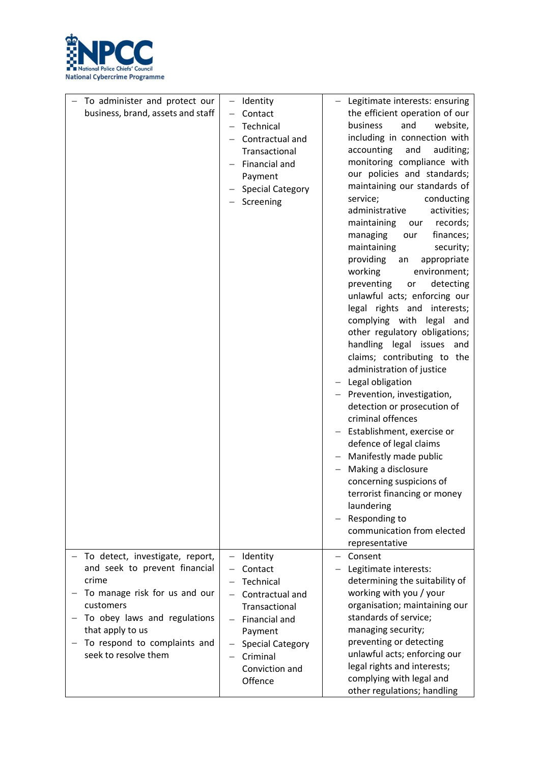

| To administer and protect our<br>business, brand, assets and staff                                                                                                                                                                  | Identity<br>$\qquad \qquad -$<br>Contact<br>$\overline{\phantom{0}}$<br>Technical<br>Contractual and<br>Transactional<br>Financial and<br>Payment<br><b>Special Category</b><br>Screening                      | - Legitimate interests: ensuring<br>the efficient operation of our<br>business<br>and<br>website,<br>including in connection with<br>accounting<br>and<br>auditing;<br>monitoring compliance with<br>our policies and standards;<br>maintaining our standards of<br>service;<br>conducting<br>administrative<br>activities;<br>maintaining<br>records;<br>our<br>managing<br>finances;<br>our<br>maintaining<br>security;<br>providing<br>appropriate<br>an<br>working<br>environment;<br>preventing<br>detecting<br>or<br>unlawful acts; enforcing our<br>legal rights and interests;<br>complying with<br>legal and<br>other regulatory obligations;<br>handling legal issues and<br>claims; contributing to the<br>administration of justice<br>Legal obligation<br>Prevention, investigation,<br>detection or prosecution of<br>criminal offences<br>Establishment, exercise or<br>defence of legal claims<br>Manifestly made public<br>Making a disclosure<br>concerning suspicions of<br>terrorist financing or money<br>laundering<br>Responding to<br>communication from elected<br>representative |
|-------------------------------------------------------------------------------------------------------------------------------------------------------------------------------------------------------------------------------------|----------------------------------------------------------------------------------------------------------------------------------------------------------------------------------------------------------------|------------------------------------------------------------------------------------------------------------------------------------------------------------------------------------------------------------------------------------------------------------------------------------------------------------------------------------------------------------------------------------------------------------------------------------------------------------------------------------------------------------------------------------------------------------------------------------------------------------------------------------------------------------------------------------------------------------------------------------------------------------------------------------------------------------------------------------------------------------------------------------------------------------------------------------------------------------------------------------------------------------------------------------------------------------------------------------------------------------|
| To detect, investigate, report,<br>and seek to prevent financial<br>crime<br>To manage risk for us and our<br>customers<br>To obey laws and regulations<br>that apply to us<br>To respond to complaints and<br>seek to resolve them | Identity<br>Contact<br>Technical<br>Contractual and<br>$\qquad \qquad -$<br>Transactional<br>Financial and<br>Payment<br><b>Special Category</b><br>Criminal<br>$\qquad \qquad -$<br>Conviction and<br>Offence | Consent<br>Legitimate interests:<br>determining the suitability of<br>working with you / your<br>organisation; maintaining our<br>standards of service;<br>managing security;<br>preventing or detecting<br>unlawful acts; enforcing our<br>legal rights and interests;<br>complying with legal and                                                                                                                                                                                                                                                                                                                                                                                                                                                                                                                                                                                                                                                                                                                                                                                                        |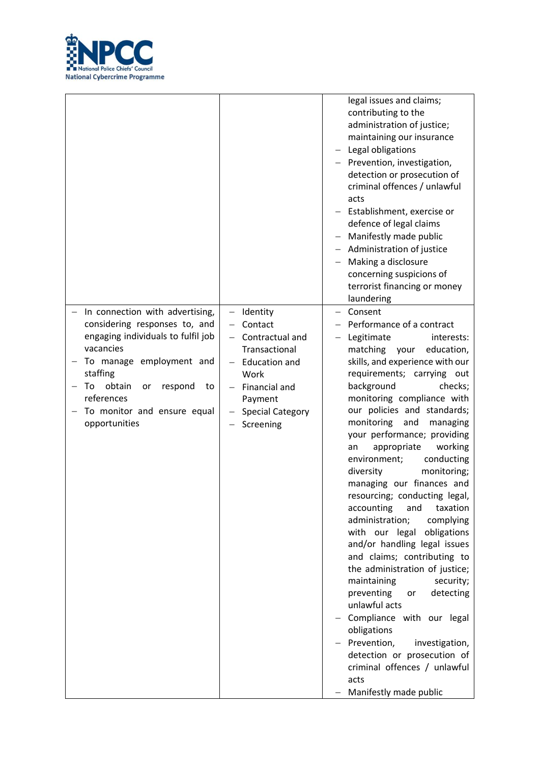

|                                                 |                                             | legal issues and claims;<br>contributing to the<br>administration of justice;<br>maintaining our insurance<br>Legal obligations<br>Prevention, investigation,<br>detection or prosecution of<br>criminal offences / unlawful<br>acts<br>- Establishment, exercise or<br>defence of legal claims<br>Manifestly made public<br>$\qquad \qquad -$<br>Administration of justice<br>Making a disclosure<br>concerning suspicions of<br>terrorist financing or money<br>laundering |
|-------------------------------------------------|---------------------------------------------|------------------------------------------------------------------------------------------------------------------------------------------------------------------------------------------------------------------------------------------------------------------------------------------------------------------------------------------------------------------------------------------------------------------------------------------------------------------------------|
|                                                 |                                             |                                                                                                                                                                                                                                                                                                                                                                                                                                                                              |
| In connection with advertising,                 | Identity                                    | Consent                                                                                                                                                                                                                                                                                                                                                                                                                                                                      |
| considering responses to, and                   | Contact                                     | Performance of a contract                                                                                                                                                                                                                                                                                                                                                                                                                                                    |
| engaging individuals to fulfil job<br>vacancies | Contractual and<br>$\overline{\phantom{0}}$ | Legitimate<br>interests:                                                                                                                                                                                                                                                                                                                                                                                                                                                     |
|                                                 | Transactional                               | matching your<br>education,                                                                                                                                                                                                                                                                                                                                                                                                                                                  |
| To manage employment and                        | <b>Education and</b>                        | skills, and experience with our                                                                                                                                                                                                                                                                                                                                                                                                                                              |
| staffing                                        | Work                                        | requirements; carrying out                                                                                                                                                                                                                                                                                                                                                                                                                                                   |
| obtain<br>To<br>respond<br>or<br>to             | Financial and                               | background<br>checks;                                                                                                                                                                                                                                                                                                                                                                                                                                                        |
| references                                      | Payment                                     | monitoring compliance with                                                                                                                                                                                                                                                                                                                                                                                                                                                   |
| To monitor and ensure equal                     | <b>Special Category</b>                     | our policies and standards;                                                                                                                                                                                                                                                                                                                                                                                                                                                  |
| opportunities                                   | Screening                                   | monitoring<br>and<br>managing                                                                                                                                                                                                                                                                                                                                                                                                                                                |
|                                                 |                                             | your performance; providing                                                                                                                                                                                                                                                                                                                                                                                                                                                  |
|                                                 |                                             | appropriate<br>working<br>an                                                                                                                                                                                                                                                                                                                                                                                                                                                 |
|                                                 |                                             | environment;<br>conducting                                                                                                                                                                                                                                                                                                                                                                                                                                                   |
|                                                 |                                             | diversity<br>monitoring;                                                                                                                                                                                                                                                                                                                                                                                                                                                     |
|                                                 |                                             | managing our finances and                                                                                                                                                                                                                                                                                                                                                                                                                                                    |
|                                                 |                                             | resourcing; conducting legal,                                                                                                                                                                                                                                                                                                                                                                                                                                                |
|                                                 |                                             | accounting<br>and<br>taxation                                                                                                                                                                                                                                                                                                                                                                                                                                                |
|                                                 |                                             | administration;<br>complying                                                                                                                                                                                                                                                                                                                                                                                                                                                 |
|                                                 |                                             | with our legal<br>obligations                                                                                                                                                                                                                                                                                                                                                                                                                                                |
|                                                 |                                             | and/or handling legal issues                                                                                                                                                                                                                                                                                                                                                                                                                                                 |
|                                                 |                                             | and claims; contributing to                                                                                                                                                                                                                                                                                                                                                                                                                                                  |
|                                                 |                                             | the administration of justice;                                                                                                                                                                                                                                                                                                                                                                                                                                               |
|                                                 |                                             | maintaining<br>security;                                                                                                                                                                                                                                                                                                                                                                                                                                                     |
|                                                 |                                             | preventing<br>detecting<br>or                                                                                                                                                                                                                                                                                                                                                                                                                                                |
|                                                 |                                             | unlawful acts                                                                                                                                                                                                                                                                                                                                                                                                                                                                |
|                                                 |                                             | Compliance with our legal<br>obligations                                                                                                                                                                                                                                                                                                                                                                                                                                     |
|                                                 |                                             | Prevention,<br>investigation,                                                                                                                                                                                                                                                                                                                                                                                                                                                |
|                                                 |                                             | detection or prosecution of                                                                                                                                                                                                                                                                                                                                                                                                                                                  |
|                                                 |                                             | criminal offences / unlawful                                                                                                                                                                                                                                                                                                                                                                                                                                                 |
|                                                 |                                             | acts                                                                                                                                                                                                                                                                                                                                                                                                                                                                         |
|                                                 |                                             |                                                                                                                                                                                                                                                                                                                                                                                                                                                                              |
|                                                 |                                             | Manifestly made public                                                                                                                                                                                                                                                                                                                                                                                                                                                       |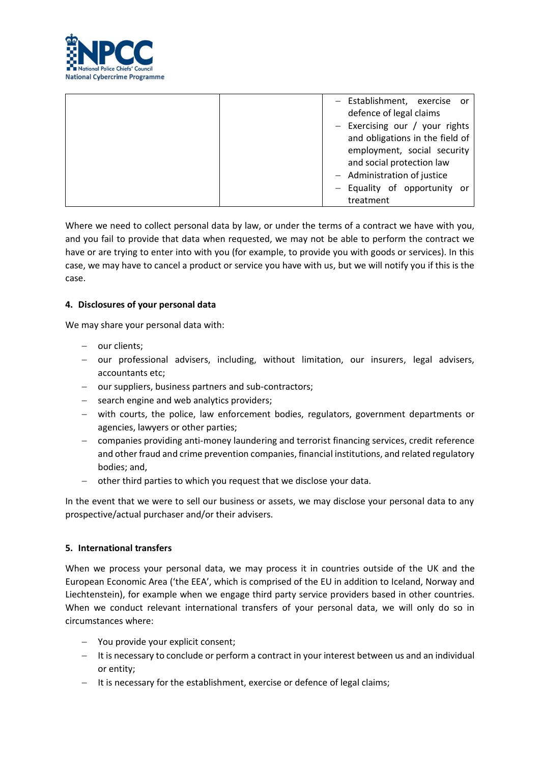

| - Establishment, exercise or<br>defence of legal claims<br>- Exercising our / your rights<br>and obligations in the field of<br>employment, social security<br>and social protection law<br>- Administration of justice |
|-------------------------------------------------------------------------------------------------------------------------------------------------------------------------------------------------------------------------|
| - Equality of opportunity or<br>treatment                                                                                                                                                                               |

Where we need to collect personal data by law, or under the terms of a contract we have with you, and you fail to provide that data when requested, we may not be able to perform the contract we have or are trying to enter into with you (for example, to provide you with goods or services). In this case, we may have to cancel a product or service you have with us, but we will notify you if this is the case.

## <span id="page-6-0"></span>**4. Disclosures of your personal data**

We may share your personal data with:

- − our clients;
- − our professional advisers, including, without limitation, our insurers, legal advisers, accountants etc;
- − our suppliers, business partners and sub-contractors;
- − search engine and web analytics providers;
- − with courts, the police, law enforcement bodies, regulators, government departments or agencies, lawyers or other parties;
- − companies providing anti-money laundering and terrorist financing services, credit reference and other fraud and crime prevention companies, financial institutions, and related regulatory bodies; and,
- − other third parties to which you request that we disclose your data.

In the event that we were to sell our business or assets, we may disclose your personal data to any prospective/actual purchaser and/or their advisers.

### <span id="page-6-1"></span>**5. International transfers**

When we process your personal data, we may process it in countries outside of the UK and the European Economic Area ('the EEA', which is comprised of the EU in addition to Iceland, Norway and Liechtenstein), for example when we engage third party service providers based in other countries. When we conduct relevant international transfers of your personal data, we will only do so in circumstances where:

- − You provide your explicit consent;
- − It is necessary to conclude or perform a contract in your interest between us and an individual or entity;
- − It is necessary for the establishment, exercise or defence of legal claims;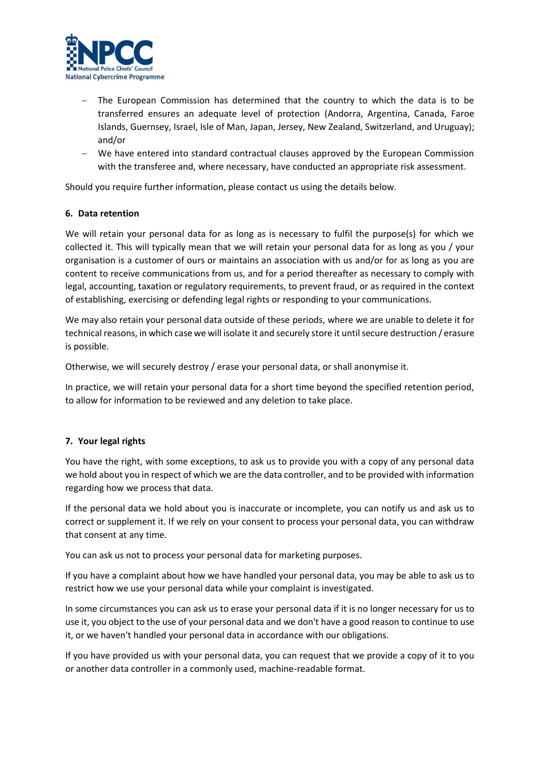

- The European Commission has determined that the country to which the data is to be transferred ensures an adequate level of protection (Andorra, Argentina, Canada, Faroe Islands, Guernsey, Israel, Isle of Man, Japan, Jersey, New Zealand, Switzerland, and Uruguay); and/or
- − We have entered into standard contractual clauses approved by the European Commission with the transferee and, where necessary, have conducted an appropriate risk assessment.

Should you require further information, please contact us using the details below.

# <span id="page-7-0"></span>**6. Data retention**

We will retain your personal data for as long as is necessary to fulfil the purpose(s) for which we collected it. This will typically mean that we will retain your personal data for as long as you / your organisation is a customer of ours or maintains an association with us and/or for as long as you are content to receive communications from us, and for a period thereafter as necessary to comply with legal, accounting, taxation or regulatory requirements, to prevent fraud, or as required in the context of establishing, exercising or defending legal rights or responding to your communications.

We may also retain your personal data outside of these periods, where we are unable to delete it for technical reasons, in which case we will isolate it and securely store it until secure destruction / erasure is possible.

Otherwise, we will securely destroy / erase your personal data, or shall anonymise it.

In practice, we will retain your personal data for a short time beyond the specified retention period, to allow for information to be reviewed and any deletion to take place.

# <span id="page-7-1"></span>**7. Your legal rights**

You have the right, with some exceptions, to ask us to provide you with a copy of any personal data we hold about you in respect of which we are the data controller, and to be provided with information regarding how we process that data.

If the personal data we hold about you is inaccurate or incomplete, you can notify us and ask us to correct or supplement it. If we rely on your consent to process your personal data, you can withdraw that consent at any time.

You can ask us not to process your personal data for marketing purposes.

If you have a complaint about how we have handled your personal data, you may be able to ask us to restrict how we use your personal data while your complaint is investigated.

In some circumstances you can ask us to erase your personal data if it is no longer necessary for us to use it, you object to the use of your personal data and we don't have a good reason to continue to use it, or we haven't handled your personal data in accordance with our obligations.

If you have provided us with your personal data, you can request that we provide a copy of it to you or another data controller in a commonly used, machine-readable format.